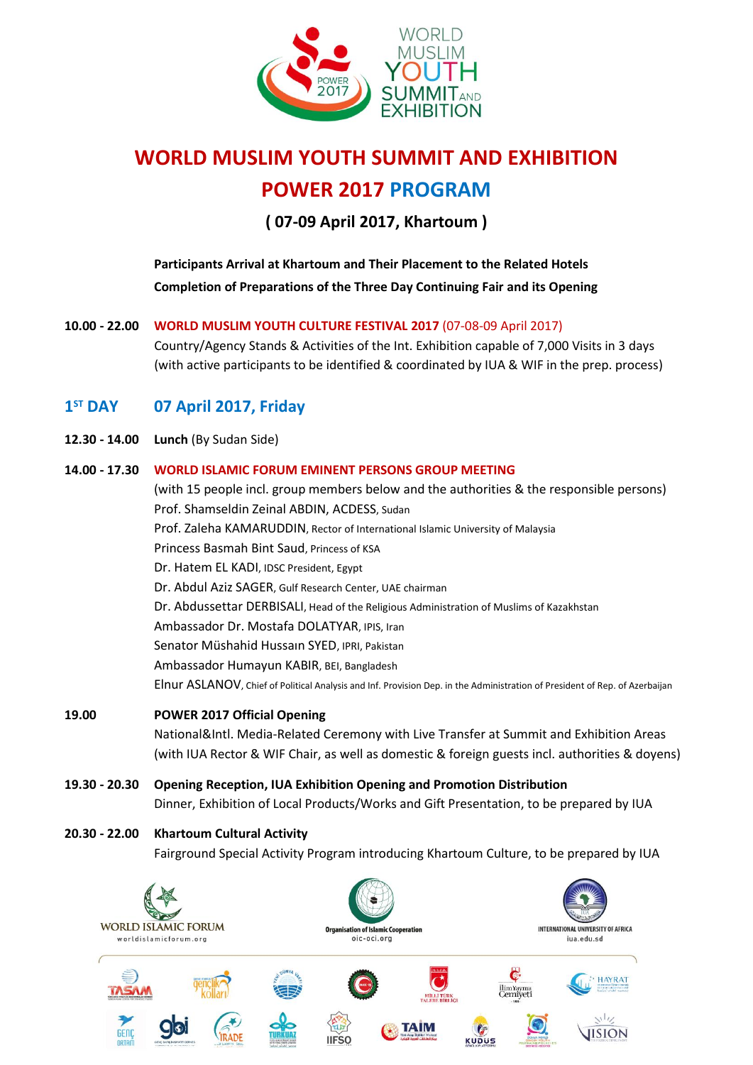

# **WORLD MUSLIM YOUTH SUMMIT AND EXHIBITION POWER 2017 PROGRAM**

**( 07-09 April 2017, Khartoum )**

**Participants Arrival at Khartoum and Their Placement to the Related Hotels Completion of Preparations of the Three Day Continuing Fair and its Opening** 

## **10.00 - 22.00 WORLD MUSLIM YOUTH CULTURE FESTIVAL 2017** (07-08-09 April 2017)

Country/Agency Stands & Activities of the Int. Exhibition capable of 7,000 Visits in 3 days (with active participants to be identified & coordinated by IUA & WIF in the prep. process)

#### $1<sup>ST</sup>$  DAY **ST DAY 07 April 2017, Friday**

**12.30 - 14.00 Lunch** (By Sudan Side)

### **14.00 - 17.30 WORLD ISLAMIC FORUM EMINENT PERSONS GROUP MEETING**

(with 15 people incl. group members below and the authorities & the responsible persons) Prof. Shamseldin Zeinal ABDIN, ACDESS, Sudan Prof. Zaleha KAMARUDDIN, Rector of International Islamic University of Malaysia Princess Basmah Bint Saud, Princess of KSA Dr. Hatem EL KADI, IDSC President, Egypt Dr. Abdul Aziz SAGER, Gulf Research Center, UAE chairman Dr. Abdussettar DERBISALI, Head of the Religious Administration of Muslims of Kazakhstan Ambassador Dr. Mostafa DOLATYAR, IPIS, Iran Senator Müshahid Hussaın SYED, IPRI, Pakistan Ambassador Humayun KABIR, BEI, Bangladesh Elnur ASLANOV, Chief of Political Analysis and Inf. Provision Dep. in the Administration of President of Rep. of Azerbaijan

# **19.00 POWER 2017 Official Opening** National&Intl. Media-Related Ceremony with Live Transfer at Summit and Exhibition Areas (with IUA Rector & WIF Chair, as well as domestic & foreign guests incl. authorities & doyens)

**19.30 - 20.30 Opening Reception, IUA Exhibition Opening and Promotion Distribution** Dinner, Exhibition of Local Products/Works and Gift Presentation, to be prepared by IUA

## **20.30 - 22.00 Khartoum Cultural Activity**

Fairground Special Activity Program introducing Khartoum Culture, to be prepared by IUA

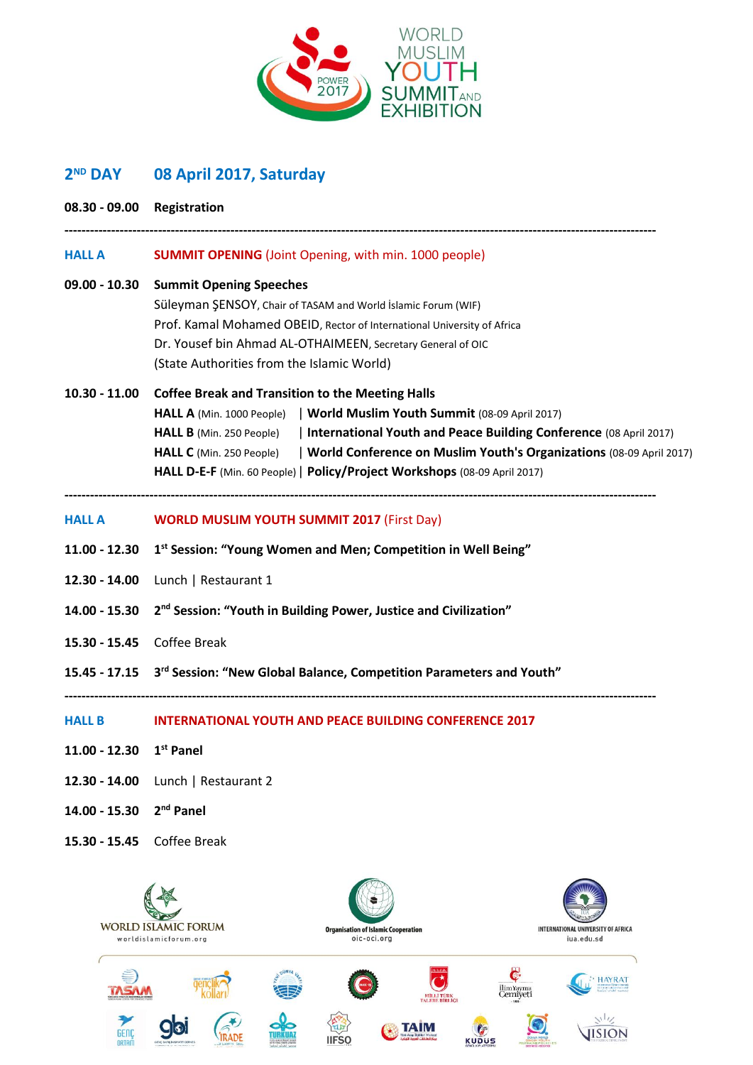

#### **2<sup>ND</sup> DAY ND DAY 08 April 2017, Saturday**

| 08.30 - 09.00 Registration   |                                                                                                 |
|------------------------------|-------------------------------------------------------------------------------------------------|
| <b>HALL A</b>                | <b>SUMMIT OPENING</b> (Joint Opening, with min. 1000 people)                                    |
| 09.00 - 10.30                | <b>Summit Opening Speeches</b>                                                                  |
|                              | Süleyman ŞENSOY, Chair of TASAM and World İslamic Forum (WIF)                                   |
|                              | Prof. Kamal Mohamed OBEID, Rector of International University of Africa                         |
|                              | Dr. Yousef bin Ahmad AL-OTHAIMEEN, Secretary General of OIC                                     |
|                              | (State Authorities from the Islamic World)                                                      |
| $10.30 - 11.00$              | <b>Coffee Break and Transition to the Meeting Halls</b>                                         |
|                              | HALL A (Min. 1000 People)   World Muslim Youth Summit (08-09 April 2017)                        |
|                              | International Youth and Peace Building Conference (08 April 2017)<br>HALL B (Min. 250 People)   |
|                              | World Conference on Muslim Youth's Organizations (08-09 April 2017)<br>HALL C (Min. 250 People) |
|                              | HALL D-E-F (Min. 60 People)   Policy/Project Workshops (08-09 April 2017)                       |
| <b>HALL A</b>                | <b>WORLD MUSLIM YOUTH SUMMIT 2017 (First Day)</b>                                               |
| $11.00 - 12.30$              | 1 <sup>st</sup> Session: "Young Women and Men; Competition in Well Being"                       |
| 12.30 - 14.00                | Lunch   Restaurant 1                                                                            |
| 14.00 - 15.30                | 2 <sup>nd</sup> Session: "Youth in Building Power, Justice and Civilization"                    |
| 15.30 - 15.45                | Coffee Break                                                                                    |
|                              | 15.45 - 17.15 3 <sup>rd</sup> Session: "New Global Balance, Competition Parameters and Youth"   |
|                              | HALL B <b>INTERNATIONAL YOUTH AND PEACE BUILDING CONFERENCE 2017</b>                            |
| 11.00 - 12.30 $1^{st}$ Panel |                                                                                                 |
| 12.30 - 14.00                | Lunch   Restaurant 2                                                                            |
| 14.00 - 15.30                | 2 <sup>nd</sup> Panel                                                                           |
| 15.30 - 15.45                | Coffee Break                                                                                    |
|                              |                                                                                                 |

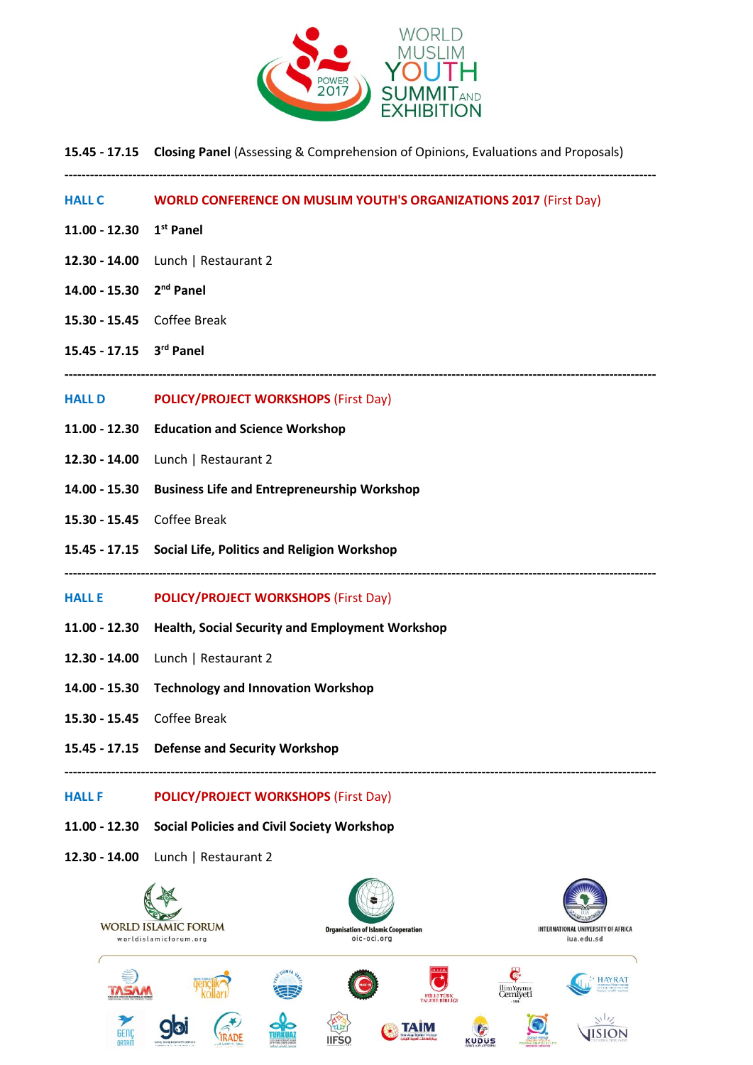

**15.45 - 17.15 Closing Panel** (Assessing & Comprehension of Opinions, Evaluations and Proposals)

**-------------------------------------------------------------------------------------------------------------------------------------------**

**HALL C WORLD CONFERENCE ON MUSLIM YOUTH'S ORGANIZATIONS 2017** (First Day) **11.00 - 12.30 1 st Panel 12.30 - 14.00** Lunch | Restaurant 2 **14.00 - 15.30 2 nd Panel 15.30 - 15.45** Coffee Break **rd Panel 15.45 - 17.15 3 ------------------------------------------------------------------------------------------------------------------------------------------- HALL D POLICY/PROJECT WORKSHOPS** (First Day) **11.00 - 12.30 Education and Science Workshop 12.30 - 14.00** Lunch | Restaurant 2 **14.00 - 15.30 Business Life and Entrepreneurship Workshop 15.30 - 15.45** Coffee Break **15.45 - 17.15 Social Life, Politics and Religion Workshop ------------------------------------------------------------------------------------------------------------------------------------------- HALL E POLICY/PROJECT WORKSHOPS** (First Day) **11.00 - 12.30 Health, Social Security and Employment Workshop 12.30 - 14.00** Lunch | Restaurant 2 **14.00 - 15.30 Technology and Innovation Workshop 15.30 - 15.45** Coffee Break **15.45 - 17.15 Defense and Security Workshop ------------------------------------------------------------------------------------------------------------------------------------------- HALL F POLICY/PROJECT WORKSHOPS** (First Day) **11.00 - 12.30 Social Policies and Civil Society Workshop 12.30 - 14.00** Lunch | Restaurant 2**WORLD ISLAMIC FORUM Organisation of Islamic Cooperation** INTERNATIONAL UNIVERSITY OF AFRICA worldislamicforum.org oic-oci.org jua.edu.sd HAYRAT ilim Yayma<br>Cerniyet  $v^{1}$ **ISION** 

KUDUS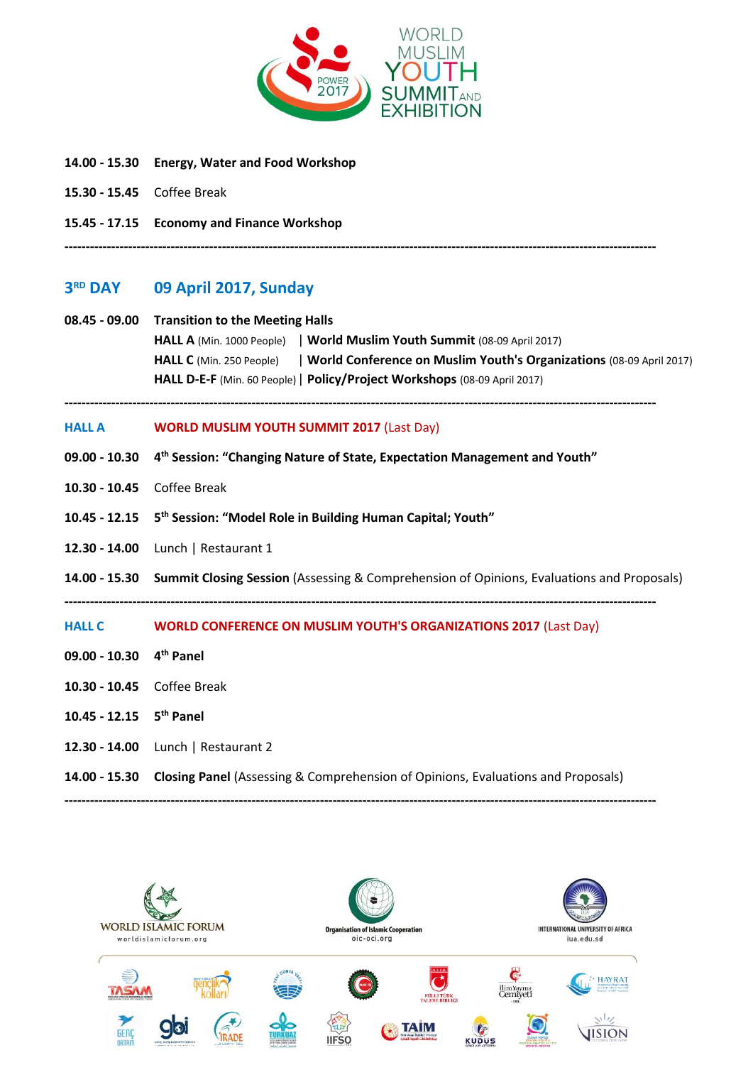

- **14.00 - 15.30 Energy, Water and Food Workshop**
- **15.30 - 15.45** Coffee Break
- **15.45 - 17.15 Economy and Finance Workshop**

#### **3RD DAY RD DAY 09 April 2017, Sunday**

# **08.45 - 09.00 Transition to the Meeting Halls**

**HALL A** (Min. 1000 People) | **World Muslim Youth Summit** (08-09 April 2017) **HALL C** (Min. 250 People) | **World Conference on Muslim Youth's Organizations** (08-09 April 2017) **HALL D-E-F** (Min. 60 People)| **Policy/Project Workshops** (08-09 April 2017)

**-------------------------------------------------------------------------------------------------------------------------------------------**

**-------------------------------------------------------------------------------------------------------------------------------------------**

### **HALL A WORLD MUSLIM YOUTH SUMMIT 2017** (Last Day)

- **09.00 - 10.30 4 th Session: "Changing Nature of State, Expectation Management and Youth"**
- **10.30 - 10.45** Coffee Break
- **10.45 - 12.15 5 th Session: "Model Role in Building Human Capital; Youth"**
- **12.30 - 14.00** Lunch | Restaurant 1
- **14.00 - 15.30 Summit Closing Session** (Assessing & Comprehension of Opinions, Evaluations and Proposals)

**-------------------------------------------------------------------------------------------------------------------------------------------**

## **HALL C WORLD CONFERENCE ON MUSLIM YOUTH'S ORGANIZATIONS 2017** (Last Day)

- **09.00 - 10.30 4 th Panel**
- **10.30 - 10.45** Coffee Break
- **10.45 - 12.15 5 th Panel**
- **12.30 - 14.00** Lunch | Restaurant 2
- **14.00 - 15.30 Closing Panel** (Assessing & Comprehension of Opinions, Evaluations and Proposals)

**-------------------------------------------------------------------------------------------------------------------------------------------**

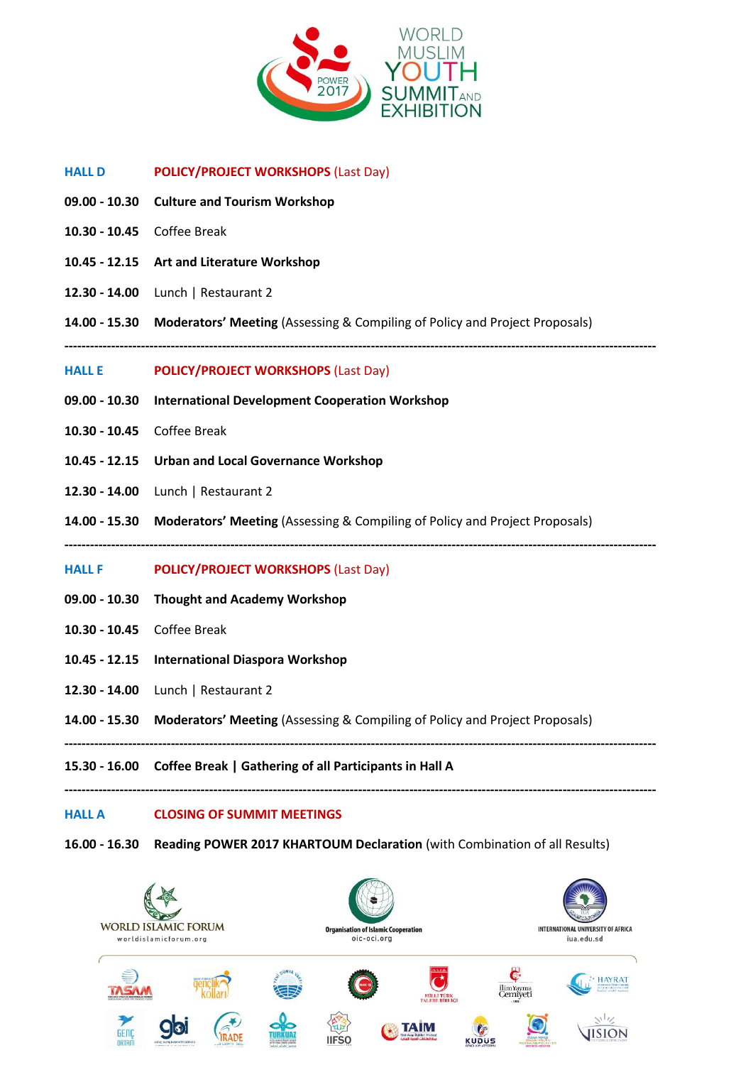

- **HALL D POLICY/PROJECT WORKSHOPS** (Last Day)
- **09.00 - 10.30 Culture and Tourism Workshop**
- **10.30 - 10.45** Coffee Break
- **10.45 - 12.15 Art and Literature Workshop**
- **12.30 - 14.00** Lunch | Restaurant 2
- **14.00 - 15.30 Moderators' Meeting** (Assessing & Compiling of Policy and Project Proposals)
- **-------------------------------------------------------------------------------------------------------------------------------------------**

### **HALL E POLICY/PROJECT WORKSHOPS** (Last Day)

- **09.00 - 10.30 International Development Cooperation Workshop**
- **10.30 - 10.45** Coffee Break
- **10.45 - 12.15 Urban and Local Governance Workshop**
- **12.30 - 14.00** Lunch | Restaurant 2
- **14.00 - 15.30 Moderators' Meeting** (Assessing & Compiling of Policy and Project Proposals)
- **-------------------------------------------------------------------------------------------------------------------------------------------**
- **HALL F POLICY/PROJECT WORKSHOPS** (Last Day)
- **09.00 - 10.30 Thought and Academy Workshop**
- **10.30 - 10.45** Coffee Break
- **10.45 - 12.15 International Diaspora Workshop**
- **12.30 - 14.00** Lunch | Restaurant 2
- **14.00 - 15.30 Moderators' Meeting** (Assessing & Compiling of Policy and Project Proposals)

**-------------------------------------------------------------------------------------------------------------------------------------------**

**-------------------------------------------------------------------------------------------------------------------------------------------**

**15.30 - 16.00 Coffee Break | Gathering of all Participants in Hall A**

### **HALL A CLOSING OF SUMMIT MEETINGS**

**16.00 - 16.30 Reading POWER 2017 KHARTOUM Declaration** (with Combination of all Results)